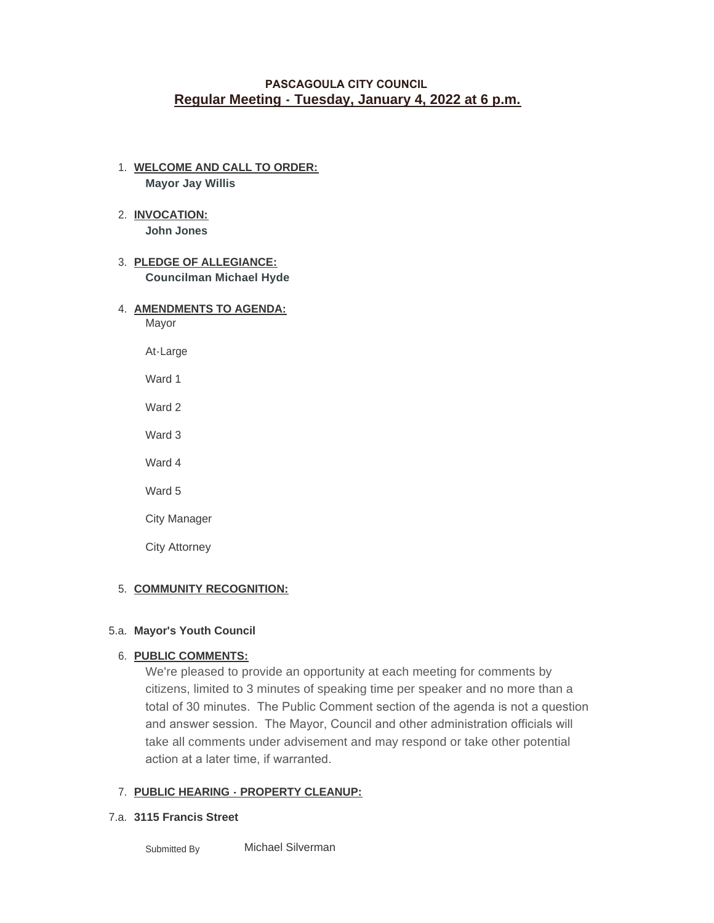# **PASCAGOULA CITY COUNCIL Regular Meeting - Tuesday, January 4, 2022 at 6 p.m.**

- **WELCOME AND CALL TO ORDER:** 1. **Mayor Jay Willis**
- 2. INVOCATION: **John Jones**
- **PLEDGE OF ALLEGIANCE:**  3. **Councilman Michael Hyde**

# **AMENDMENTS TO AGENDA:** 4.

Mayor

At-Large

- Ward 1
- Ward 2

Ward 3

Ward 4

Ward 5

City Manager

City Attorney

# 5. COMMUNITY RECOGNITION:

# **Mayor's Youth Council** 5.a.

# **PUBLIC COMMENTS:**  6.

We're pleased to provide an opportunity at each meeting for comments by citizens, limited to 3 minutes of speaking time per speaker and no more than a total of 30 minutes. The Public Comment section of the agenda is not a question and answer session. The Mayor, Council and other administration officials will take all comments under advisement and may respond or take other potential action at a later time, if warranted.

# **PUBLIC HEARING - PROPERTY CLEANUP:**  7.

# **3115 Francis Street**  7.a.

Michael Silverman Submitted By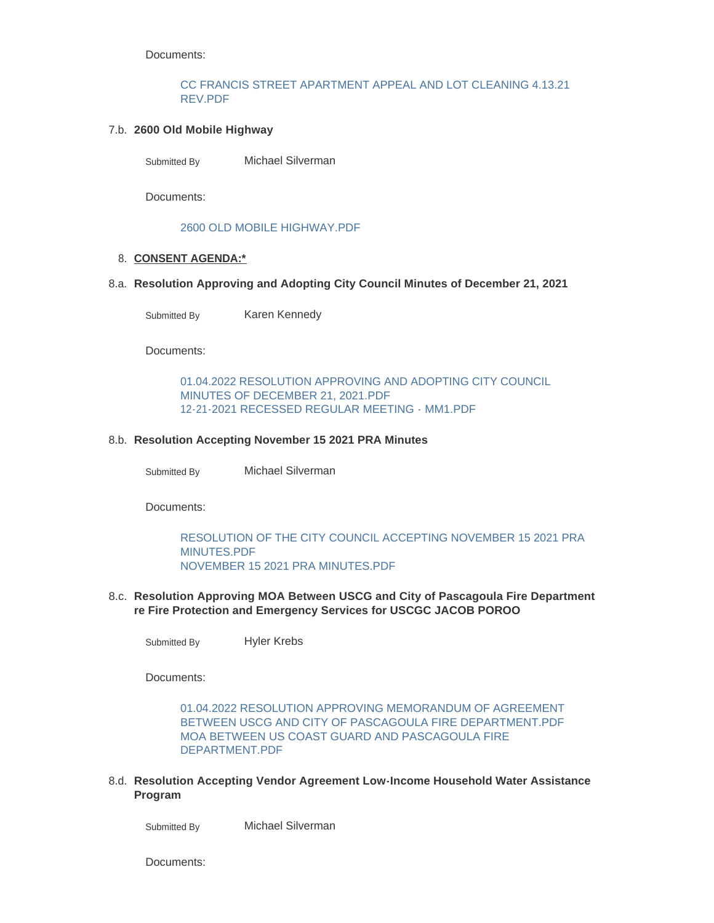Documents:

### [CC FRANCIS STREET APARTMENT APPEAL AND LOT CLEANING 4.13.21](http://cityofpascagoula.com/AgendaCenter/ViewFile/Item/8411?fileID=11427)  REV.PDF

### **2600 Old Mobile Highway**  7.b.

Michael Silverman Submitted By

Documents:

### [2600 OLD MOBILE HIGHWAY.PDF](http://cityofpascagoula.com/AgendaCenter/ViewFile/Item/8412?fileID=11429)

### **CONSENT AGENDA:\*** 8.

#### **Resolution Approving and Adopting City Council Minutes of December 21, 2021**  8.a.

Karen Kennedy Submitted By

Documents:

[01.04.2022 RESOLUTION APPROVING AND ADOPTING CITY COUNCIL](http://cityofpascagoula.com/AgendaCenter/ViewFile/Item/8413?fileID=11430)  MINUTES OF DECEMBER 21, 2021.PDF [12-21-2021 RECESSED REGULAR MEETING - MM1.PDF](http://cityofpascagoula.com/AgendaCenter/ViewFile/Item/8413?fileID=11440)

### **Resolution Accepting November 15 2021 PRA Minutes** 8.b.

Michael Silverman Submitted By

Documents:

[RESOLUTION OF THE CITY COUNCIL ACCEPTING NOVEMBER 15 2021 PRA](http://cityofpascagoula.com/AgendaCenter/ViewFile/Item/8372?fileID=11412)  MINUTES.PDF [NOVEMBER 15 2021 PRA MINUTES.PDF](http://cityofpascagoula.com/AgendaCenter/ViewFile/Item/8372?fileID=11409)

#### **Resolution Approving MOA Between USCG and City of Pascagoula Fire Department**  8.c. **re Fire Protection and Emergency Services for USCGC JACOB POROO**

Hyler Krebs Submitted By

Documents:

[01.04.2022 RESOLUTION APPROVING MEMORANDUM OF AGREEMENT](http://cityofpascagoula.com/AgendaCenter/ViewFile/Item/8367?fileID=11402)  BETWEEN USCG AND CITY OF PASCAGOULA FIRE DEPARTMENT.PDF [MOA BETWEEN US COAST GUARD AND PASCAGOULA FIRE](http://cityofpascagoula.com/AgendaCenter/ViewFile/Item/8367?fileID=11403)  DEPARTMENT.PDF

**Resolution Accepting Vendor Agreement Low-Income Household Water Assistance**  8.d. **Program**

Michael Silverman Submitted By

Documents: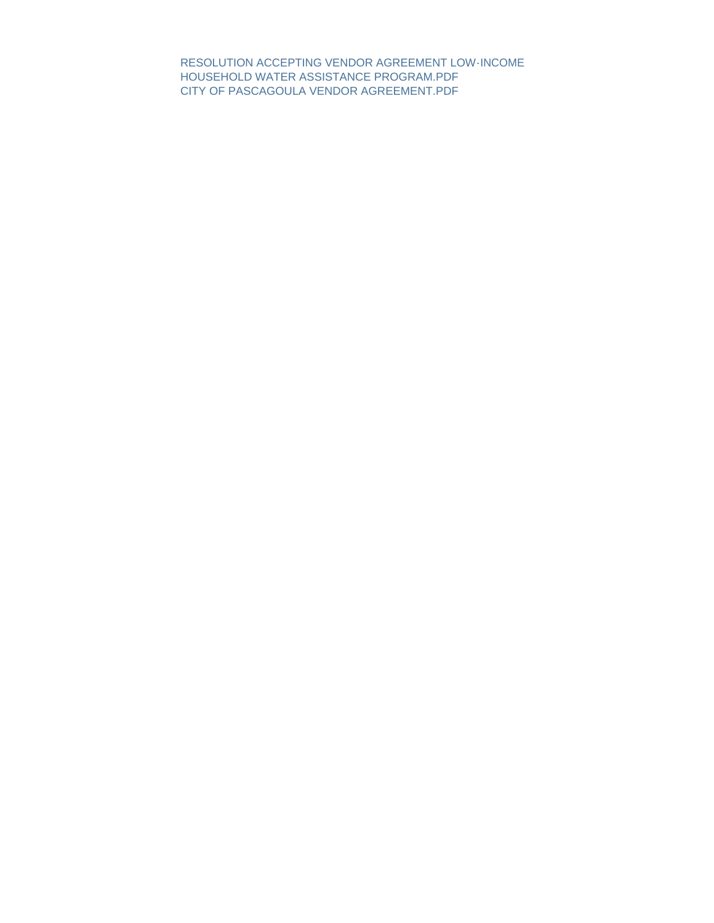[RESOLUTION ACCEPTING VENDOR AGREEMENT LOW-INCOME](http://cityofpascagoula.com/AgendaCenter/ViewFile/Item/8398?fileID=11419)  HOUSEHOLD WATER ASSISTANCE PROGRAM.PDF [CITY OF PASCAGOULA VENDOR AGREEMENT.PDF](http://cityofpascagoula.com/AgendaCenter/ViewFile/Item/8398?fileID=11418)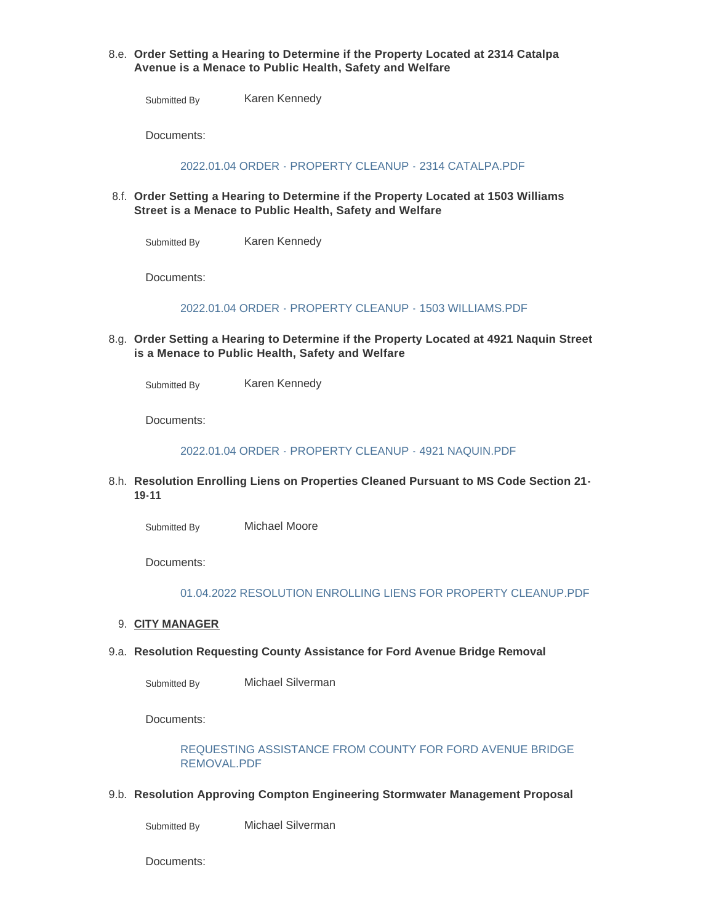### **Order Setting a Hearing to Determine if the Property Located at 2314 Catalpa**  8.e. **Avenue is a Menace to Public Health, Safety and Welfare**

Karen Kennedy Submitted By

Documents:

[2022.01.04 ORDER - PROPERTY CLEANUP - 2314 CATALPA.PDF](http://cityofpascagoula.com/AgendaCenter/ViewFile/Item/8376?fileID=11416)

**Order Setting a Hearing to Determine if the Property Located at 1503 Williams**  8.f. **Street is a Menace to Public Health, Safety and Welfare**

Karen Kennedy Submitted By

Documents:

[2022.01.04 ORDER - PROPERTY CLEANUP - 1503 WILLIAMS.PDF](http://cityofpascagoula.com/AgendaCenter/ViewFile/Item/8375?fileID=11415)

**Order Setting a Hearing to Determine if the Property Located at 4921 Naquin Street**  8.g. **is a Menace to Public Health, Safety and Welfare**

Karen Kennedy Submitted By

Documents:

[2022.01.04 ORDER - PROPERTY CLEANUP - 4921 NAQUIN.PDF](http://cityofpascagoula.com/AgendaCenter/ViewFile/Item/8377?fileID=11417)

**Resolution Enrolling Liens on Properties Cleaned Pursuant to MS Code Section 21-** 8.h. **19-11**

Michael Moore Submitted By

Documents:

[01.04.2022 RESOLUTION ENROLLING LIENS FOR PROPERTY CLEANUP.PDF](http://cityofpascagoula.com/AgendaCenter/ViewFile/Item/8405?fileID=11426)

- **CITY MANAGER** 9.
- **Resolution Requesting County Assistance for Ford Avenue Bridge Removal** 9.a.

Michael Silverman Submitted By

Documents:

### [REQUESTING ASSISTANCE FROM COUNTY FOR FORD AVENUE BRIDGE](http://cityofpascagoula.com/AgendaCenter/ViewFile/Item/8324?fileID=11432)  REMOVAL.PDF

**Resolution Approving Compton Engineering Stormwater Management Proposal**  9.b.

Michael Silverman Submitted By

Documents: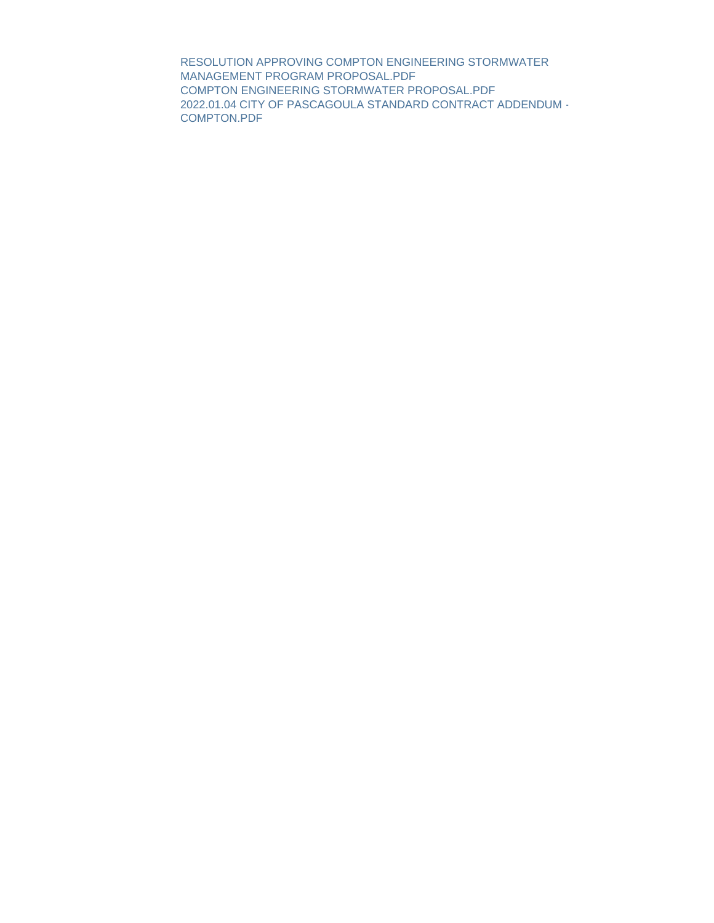[RESOLUTION APPROVING COMPTON ENGINEERING STORMWATER](http://cityofpascagoula.com/AgendaCenter/ViewFile/Item/8373?fileID=11411)  MANAGEMENT PROGRAM PROPOSAL.PDF [COMPTON ENGINEERING STORMWATER PROPOSAL.PDF](http://cityofpascagoula.com/AgendaCenter/ViewFile/Item/8373?fileID=11410) [2022.01.04 CITY OF PASCAGOULA STANDARD CONTRACT ADDENDUM -](http://cityofpascagoula.com/AgendaCenter/ViewFile/Item/8373?fileID=11420) COMPTON.PDF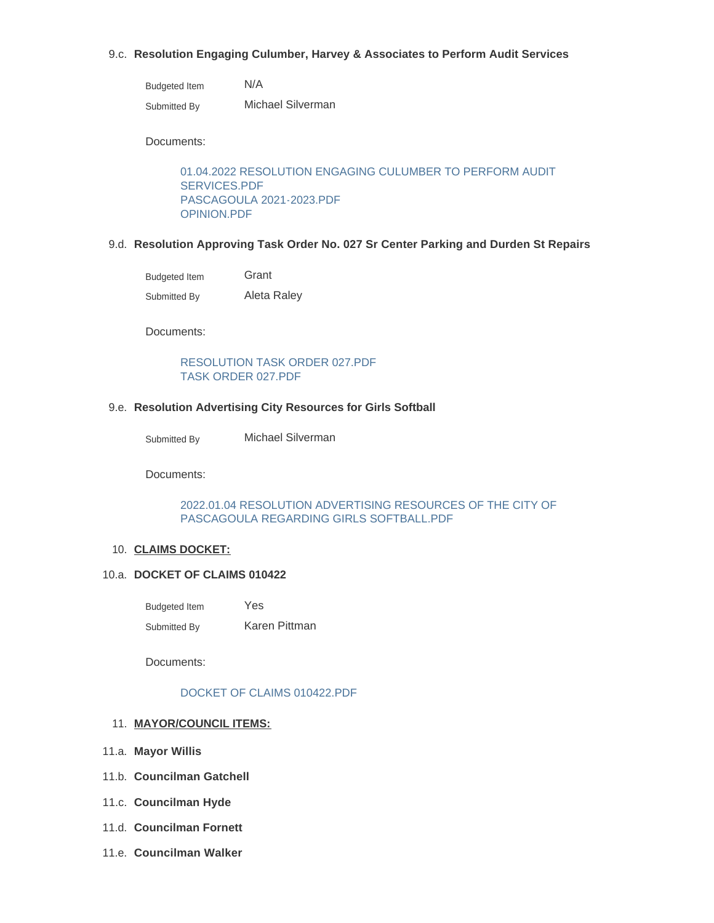### **Resolution Engaging Culumber, Harvey & Associates to Perform Audit Services**  9.c.

| <b>Budgeted Item</b> | N/A               |
|----------------------|-------------------|
| Submitted By         | Michael Silverman |

Documents:

[01.04.2022 RESOLUTION ENGAGING CULUMBER TO PERFORM AUDIT](http://cityofpascagoula.com/AgendaCenter/ViewFile/Item/8403?fileID=11421)  SERVICES.PDF [PASCAGOULA 2021-2023.PDF](http://cityofpascagoula.com/AgendaCenter/ViewFile/Item/8403?fileID=11422) [OPINION.PDF](http://cityofpascagoula.com/AgendaCenter/ViewFile/Item/8403?fileID=11423)

#### **Resolution Approving Task Order No. 027 Sr Center Parking and Durden St Repairs** 9.d.

| <b>Budgeted Item</b> | Grant       |
|----------------------|-------------|
| Submitted By         | Aleta Raley |

Documents:

### [RESOLUTION TASK ORDER 027.PDF](http://cityofpascagoula.com/AgendaCenter/ViewFile/Item/8404?fileID=11424) [TASK ORDER 027.PDF](http://cityofpascagoula.com/AgendaCenter/ViewFile/Item/8404?fileID=11425)

#### **Resolution Advertising City Resources for Girls Softball** 9.e.

Submitted By **Michael Silverman** 

Documents:

#### [2022.01.04 RESOLUTION ADVERTISING RESOURCES OF THE CITY OF](http://cityofpascagoula.com/AgendaCenter/ViewFile/Item/8374?fileID=11414)  PASCAGOULA REGARDING GIRLS SOFTBALL.PDF

### 10. CLAIMS DOCKET:

#### **DOCKET OF CLAIMS 010422** 10.a.

Yes Karen Pittman Budgeted Item Submitted By

Documents:

### [DOCKET OF CLAIMS 010422.PDF](http://cityofpascagoula.com/AgendaCenter/ViewFile/Item/8414?fileID=11431)

### **MAYOR/COUNCIL ITEMS:** 11.

- **Mayor Willis**  11.a.
- **Councilman Gatchell** 11.b.
- **Councilman Hyde** 11.c.
- **Councilman Fornett** 11.d.
- **Councilman Walker** 11.e.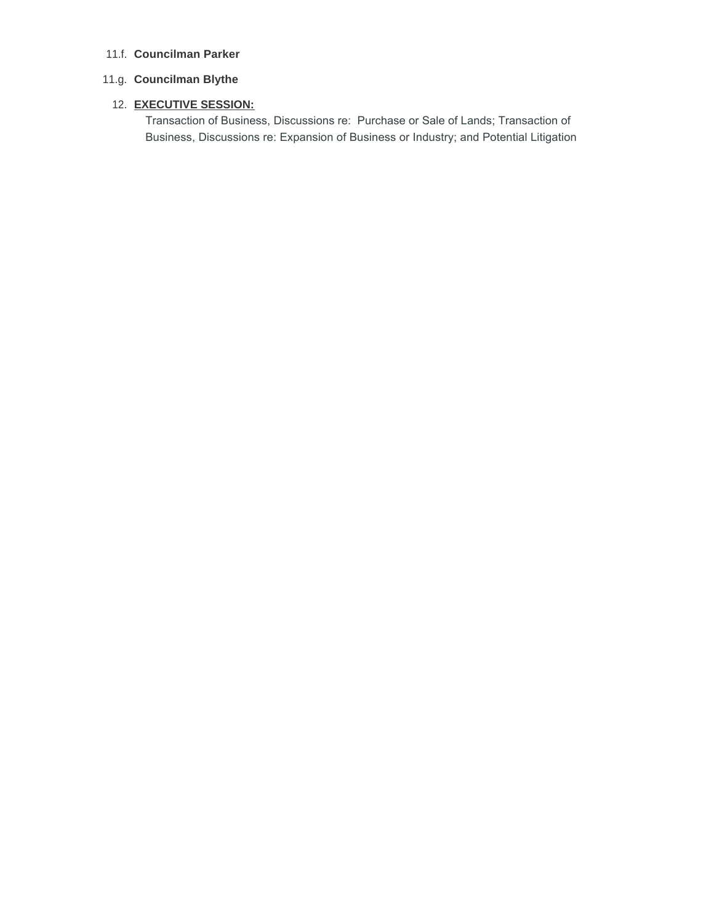## **Councilman Parker** 11.f.

# **Councilman Blythe**  11.g.

### **EXECUTIVE SESSION:**  12.

Transaction of Business, Discussions re: Purchase or Sale of Lands; Transaction of Business, Discussions re: Expansion of Business or Industry; and Potential Litigation